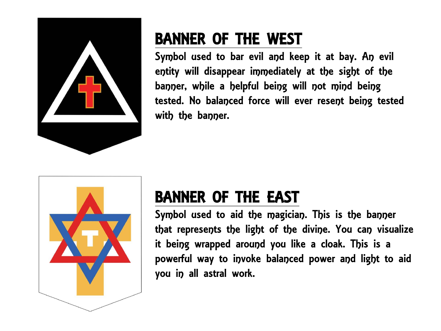

## BANNER OF THE WEST

Symbol used to bar evil and keep it at bay. An evil entity will disappear immediately at the sight of the banner, while a helpful being will not mind being tested. No balanced force will ever resent being tested with the banner.



## BANNER OF THE EAST

Symbol used to aid the magician. This is the banner that represents the light of the divine. You can visualize it being wrapped around you like a cloak. This is a powerful way to invoke balanced power and light to aid you in all astral work.